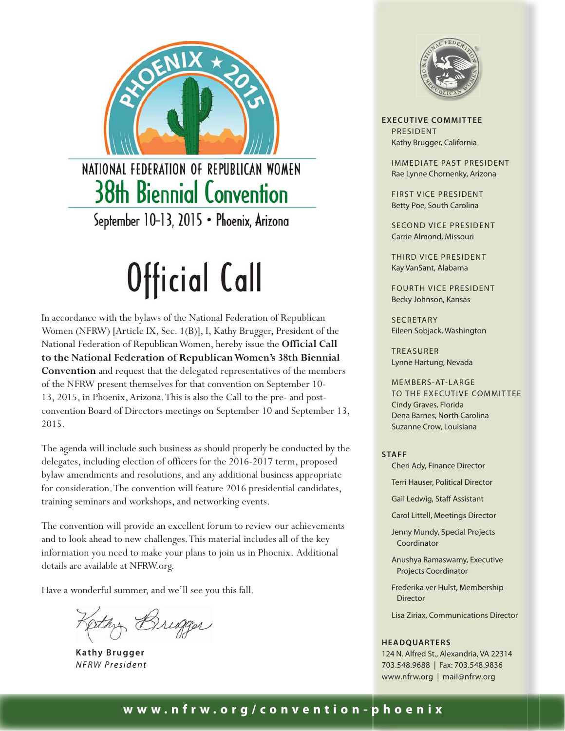

NATIONAL FEDERATION OF REPUBLICAN WOMEN **38th Biennial Convention** 

September 10-13, 2015 · Phoenix, Arizona

### Official Call

In accordance with the bylaws of the National Federation of Republican Women (NFRW) [Article IX, Sec. 1(B)], I, Kathy Brugger, President of the National Federation of Republican Women, hereby issue the **Official Call to the National Federation of Republican Women's 38th Biennial Convention** and request that the delegated representatives of the members of the NFRW present themselves for that convention on September 10- 13, 2015, in Phoenix, Arizona. This is also the Call to the pre- and postconvention Board of Directors meetings on September 10 and September 13, 2015.

The agenda will include such business as should properly be conducted by the delegates, including election of officers for the 2016-2017 term, proposed bylaw amendments and resolutions, and any additional business appropriate for consideration. The convention will feature 2016 presidential candidates, training seminars and workshops, and networking events.

The convention will provide an excellent forum to review our achievements and to look ahead to new challenges. This material includes all of the key information you need to make your plans to join us in Phoenix. Additional details are available at NFRW.org.

Have a wonderful summer, and we'll see you this fall.

Othy Bridger

**Kathy Brugger** *NFRW President*



**EXECUTIVE COMMITTEE** PRESIDENT Kathy Brugger, California

> IMMEDIATE PAST PRESIDENT Rae Lynne Chornenky, Arizona

FIRST VICE PRESIDENT Betty Poe, South Carolina

SECOND VICE PRESIDENT Carrie Almond, Missouri

THIRD VICE PRESIDENT Kay VanSant, Alabama

FOURTH VICE PRESIDENT Becky Johnson, Kansas

SECRETARY Eileen Sobjack, Washington

TREASURER Lynne Hartung, Nevada

MEMBERS-AT-LARGE TO THE EXECUTIVE COMMITTEE Cindy Graves, Florida Dena Barnes, North Carolina Suzanne Crow, Louisiana

**STAFF**

Cheri Ady, Finance Director

Terri Hauser, Political Director

Gail Ledwig, Staff Assistant

Carol Littell, Meetings Director

Jenny Mundy, Special Projects Coordinator

Anushya Ramaswamy, Executive Projects Coordinator

Frederika ver Hulst, Membership Director

Lisa Ziriax, Communications Director

#### **HEADQUARTERS**

124 N. Alfred St., Alexandria, VA 22314 703.548.9688 | Fax: 703.548.9836 www.nfrw.org | mail@nfrw.org

#### **www.nfrw.org/convention- p hoeni x**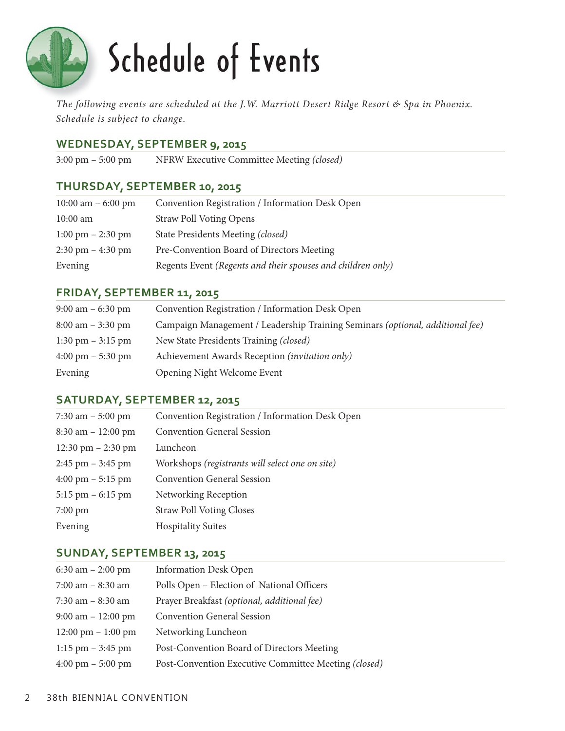

### Schedule of Events

*The following events are scheduled at the J.W. Marriott Desert Ridge Resort & Spa in Phoenix. Schedule is subject to change.* 

#### **WEDNESDAY, SEPTEMBER 9, 2015**

3:00 pm – 5:00 pm NFRW Executive Committee Meeting *(closed)*

#### **THURSDAY, SEPTEMBER 10, 2015**

| 10:00 am $-$ 6:00 pm                | Convention Registration / Information Desk Open             |
|-------------------------------------|-------------------------------------------------------------|
| $10:00$ am                          | <b>Straw Poll Voting Opens</b>                              |
| $1:00 \text{ pm} - 2:30 \text{ pm}$ | State Presidents Meeting (closed)                           |
| $2:30 \text{ pm} - 4:30 \text{ pm}$ | Pre-Convention Board of Directors Meeting                   |
| Evening                             | Regents Event (Regents and their spouses and children only) |

#### **FRIDAY, SEPTEMBER 11, 2015**

| $9:00 \text{ am} - 6:30 \text{ pm}$ | Convention Registration / Information Desk Open                               |
|-------------------------------------|-------------------------------------------------------------------------------|
| $8:00 \text{ am} - 3:30 \text{ pm}$ | Campaign Management / Leadership Training Seminars (optional, additional fee) |
| $1:30 \text{ pm} - 3:15 \text{ pm}$ | New State Presidents Training (closed)                                        |
| $4:00 \text{ pm} - 5:30 \text{ pm}$ | Achievement Awards Reception (invitation only)                                |
| Evening                             | Opening Night Welcome Event                                                   |

#### **SATURDAY, SEPTEMBER 12, 2015**

| 7:30 am $-$ 5:00 pm                 | Convention Registration / Information Desk Open |
|-------------------------------------|-------------------------------------------------|
| $8:30$ am $-12:00$ pm               | <b>Convention General Session</b>               |
| 12:30 pm $-$ 2:30 pm                | Luncheon                                        |
| $2:45$ pm $-3:45$ pm                | Workshops (registrants will select one on site) |
| $4:00 \text{ pm} - 5:15 \text{ pm}$ | <b>Convention General Session</b>               |
| $5:15$ pm $-6:15$ pm                | Networking Reception                            |
| $7:00 \text{ pm}$                   | <b>Straw Poll Voting Closes</b>                 |
| Evening                             | <b>Hospitality Suites</b>                       |
|                                     |                                                 |

#### **SUNDAY, SEPTEMBER 13, 2015**

| 6:30 am $- 2:00 \text{ pm}$          | <b>Information Desk Open</b>                         |
|--------------------------------------|------------------------------------------------------|
| $7:00$ am $-8:30$ am                 | Polls Open - Election of National Officers           |
| $7:30$ am $-8:30$ am                 | Prayer Breakfast (optional, additional fee)          |
| $9:00$ am $-12:00$ pm                | <b>Convention General Session</b>                    |
| $12:00 \text{ pm} - 1:00 \text{ pm}$ | Networking Luncheon                                  |
| $1:15$ pm $-3:45$ pm                 | Post-Convention Board of Directors Meeting           |
| $4:00 \text{ pm} - 5:00 \text{ pm}$  | Post-Convention Executive Committee Meeting (closed) |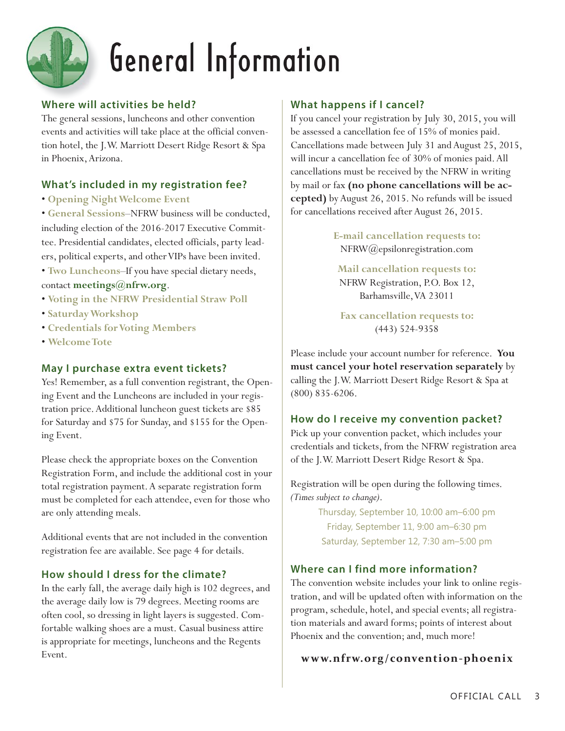

### General Information

#### **Where will activities be held?**

The general sessions, luncheons and other convention events and activities will take place at the official convention hotel, the J.W. Marriott Desert Ridge Resort & Spa in Phoenix, Arizona.

#### **What's included in my registration fee?**

• **Opening Night Welcome Event**

• **General Sessions**–NFRW business will be conducted, including election of the 2016-2017 Executive Committee. Presidential candidates, elected officials, party leaders, political experts, and other VIPs have been invited.

• **Two Luncheons**–If you have special dietary needs, contact **meetings@nfrw.org**.

- **Voting in the NFRW Presidential Straw Poll**
- **Saturday Workshop**
- **Credentials for Voting Members**
- **Welcome Tote**

#### **May I purchase extra event tickets?**

Yes! Remember, as a full convention registrant, the Opening Event and the Luncheons are included in your registration price. Additional luncheon guest tickets are \$85 for Saturday and \$75 for Sunday, and \$155 for the Opening Event.

Please check the appropriate boxes on the Convention Registration Form, and include the additional cost in your total registration payment. A separate registration form must be completed for each attendee, even for those who are only attending meals.

Additional events that are not included in the convention registration fee are available. See page 4 for details.

#### **How should I dress for the climate?**

In the early fall, the average daily high is 102 degrees, and the average daily low is 79 degrees. Meeting rooms are often cool, so dressing in light layers is suggested. Comfortable walking shoes are a must. Casual business attire is appropriate for meetings, luncheons and the Regents Event.

#### **What happens if I cancel?**

If you cancel your registration by July 30, 2015, you will be assessed a cancellation fee of 15% of monies paid. Cancellations made between July 31 and August 25, 2015, will incur a cancellation fee of 30% of monies paid. All cancellations must be received by the NFRW in writing by mail or fax **(no phone cancellations will be accepted)** by August 26, 2015. No refunds will be issued for cancellations received after August 26, 2015.

> **E-mail cancellation requests to:** NFRW@epsilonregistration.com

**Mail cancellation requests to:** NFRW Registration, P.O. Box 12, Barhamsville, VA 23011

**Fax cancellation requests to:** (443) 524-9358

Please include your account number for reference. **You must cancel your hotel reservation separately** by calling the J.W. Marriott Desert Ridge Resort & Spa at (800) 835-6206.

#### **How do I receive my convention packet?**

Pick up your convention packet, which includes your credentials and tickets, from the NFRW registration area of the J.W. Marriott Desert Ridge Resort & Spa.

Registration will be open during the following times. *(Times subject to change)*.

> Thursday, September 10, 10:00 am–6:00 pm Friday, September 11, 9:00 am–6:30 pm Saturday, September 12, 7:30 am–5:00 pm

#### **Where can I find more information?**

The convention website includes your link to online registration, and will be updated often with information on the program, schedule, hotel, and special events; all registration materials and award forms; points of interest about Phoenix and the convention; and, much more!

#### **www.n frw.org/convent ion -phoen ix**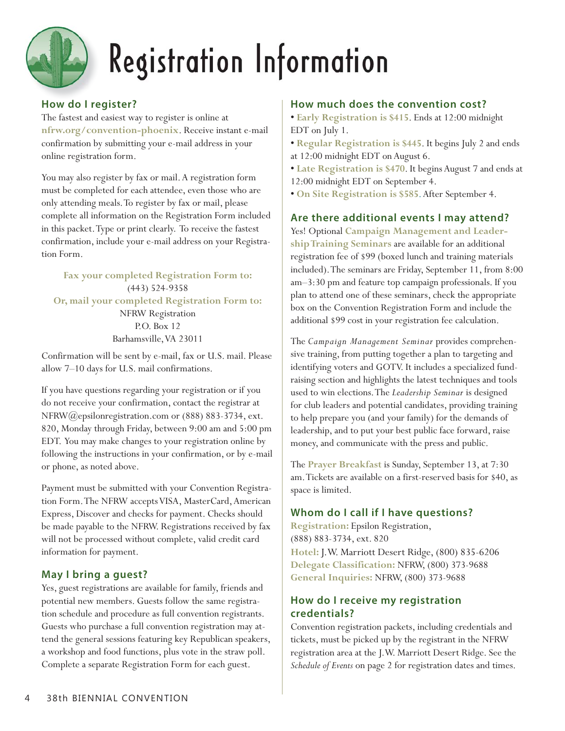

## Registration Information

#### **How do I register?**

The fastest and easiest way to register is online at **nfrw.org/convention-phoenix**. Receive instant e-mail confirmation by submitting your e-mail address in your online registration form.

You may also register by fax or mail. A registration form must be completed for each attendee, even those who are only attending meals. To register by fax or mail, please complete all information on the Registration Form included in this packet. Type or print clearly. To receive the fastest confirmation, include your e-mail address on your Registration Form.

**Fax your completed Registration Form to:** (443) 524-9358 **Or, mail your completed Registration Form to:** NFRW Registration P.O. Box 12 Barhamsville, VA 23011

Confirmation will be sent by e-mail, fax or U.S. mail. Please allow 7–10 days for U.S. mail confirmations.

If you have questions regarding your registration or if you do not receive your confirmation, contact the registrar at NFRW@epsilonregistration.com or (888) 883-3734, ext. 820, Monday through Friday, between 9:00 am and 5:00 pm EDT. You may make changes to your registration online by following the instructions in your confirmation, or by e-mail or phone, as noted above.

Payment must be submitted with your Convention Registration Form. The NFRW accepts VISA, MasterCard, American Express, Discover and checks for payment. Checks should be made payable to the NFRW. Registrations received by fax will not be processed without complete, valid credit card information for payment.

#### **May I bring a guest?**

Yes, guest registrations are available for family, friends and potential new members. Guests follow the same registration schedule and procedure as full convention registrants. Guests who purchase a full convention registration may attend the general sessions featuring key Republican speakers, a workshop and food functions, plus vote in the straw poll. Complete a separate Registration Form for each guest.

#### **How much does the convention cost?**

**• Early Registration is \$415**. Ends at 12:00 midnight EDT on July 1.

- **Regular Registration is \$445**. It begins July 2 and ends at 12:00 midnight EDT on August 6.
- **Late Registration is \$470**. It begins August 7 and ends at 12:00 midnight EDT on September 4.
- **On Site Registration is \$585**. After September 4.

#### **Are there additional events I may attend?**

Yes! Optional **Campaign Management and Leadership Training Seminars** are available for an additional registration fee of \$99 (boxed lunch and training materials included). The seminars are Friday, September 11, from 8:00 am–3:30 pm and feature top campaign professionals. If you plan to attend one of these seminars, check the appropriate box on the Convention Registration Form and include the additional \$99 cost in your registration fee calculation.

The *Campaign Management Seminar* provides comprehensive training, from putting together a plan to targeting and identifying voters and GOTV. It includes a specialized fundraising section and highlights the latest techniques and tools used to win elections. The *Leadership Seminar* is designed for club leaders and potential candidates, providing training to help prepare you (and your family) for the demands of leadership, and to put your best public face forward, raise money, and communicate with the press and public.

The **Prayer Breakfast** is Sunday, September 13, at 7:30 am. Tickets are available on a first-reserved basis for \$40, as space is limited.

#### **Whom do I call if I have questions?**

**Registration:** Epsilon Registration, (888) 883-3734, ext. 820 **Hotel:** J.W. Marriott Desert Ridge, (800) 835-6206 **Delegate Classification:** NFRW, (800) 373-9688 **General Inquiries:** NFRW, (800) 373-9688

#### **How do I receive my registration credentials?**

Convention registration packets, including credentials and tickets, must be picked up by the registrant in the NFRW registration area at the J.W. Marriott Desert Ridge. See the *Schedule of Events* on page 2 for registration dates and times.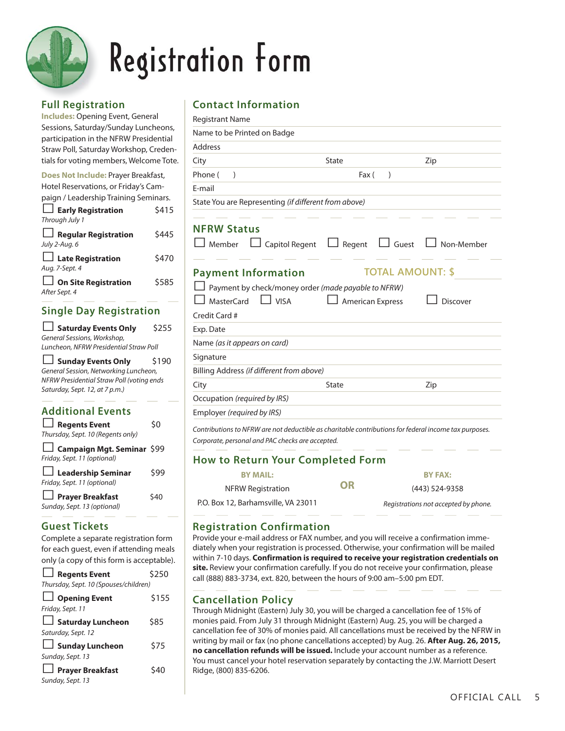

### **Registration Form**

#### **Full Registration**

**Includes:** Opening Event, General Sessions, Saturday/Sunday Luncheons, participation in the NFRW Presidential Straw Poll, Saturday Workshop, Credentials for voting members, Welcome Tote.

| Does Not Include: Prayer Breakfast,   |       |
|---------------------------------------|-------|
| Hotel Reservations, or Friday's Cam-  |       |
| paign / Leadership Training Seminars. |       |
| $\Box$ Early Registration             | \$415 |
| Through July 1                        |       |

| Through July T                               |       |
|----------------------------------------------|-------|
| $\Box$ Regular Registration<br>July 2-Aug. 6 | \$445 |
| $\Box$ Late Registration                     | \$470 |
| Aug. 7-Sept. 4                               |       |
| $\Box$ On Site Registration                  | \$585 |
| After Sept. 4                                |       |

| <b>Single Day Registration</b>                                                                                                                                                       |       |
|--------------------------------------------------------------------------------------------------------------------------------------------------------------------------------------|-------|
| Saturday Events Only<br>General Sessions, Workshop,                                                                                                                                  | \$255 |
| Luncheon, NFRW Presidential Straw Poll<br>Sunday Events Only<br>General Session, Networking Luncheon,<br>NFRW Presidential Straw Poll (voting ends<br>Saturday, Sept. 12, at 7 p.m.) | \$190 |
| <b>Additional Events</b>                                                                                                                                                             |       |
| $\Box$ Regents Event<br>Thursday, Sept. 10 (Regents only)                                                                                                                            | S0    |
| □ Campaign Mgt. Seminar \$99<br>Friday, Sept. 11 (optional)                                                                                                                          |       |
| <b>Leadership Seminar</b>                                                                                                                                                            |       |

#### *Friday, Sept. 11 (optional)* □ **Prayer Breakfast** \$40 *Sunday, Sept. 13 (optional)*

#### **Guest Tickets**

Complete a separate registration form for each guest, even if attending meals

| only (a copy of this form is acceptable). |       |
|-------------------------------------------|-------|
| $\Box$ Regents Event                      | \$250 |
| Thursday, Sept. 10 (Spouses/children)     |       |
| $\Box$ Opening Event                      | \$155 |
| Friday, Sept. 11                          |       |
| $\Box$ Saturday Luncheon                  | \$85  |
| Saturday, Sept. 12                        |       |
| $\Box$ Sunday Luncheon                    | \$75  |
| Sunday, Sept. 13                          |       |
| $\Box$ Prayer Breakfast                   | \$40  |
| Sunday, Sept. 13                          |       |

#### **Contact Information**

| <b>Registrant Name</b>                                                                                |                               |                 |
|-------------------------------------------------------------------------------------------------------|-------------------------------|-----------------|
| Name to be Printed on Badge                                                                           |                               |                 |
| <b>Address</b>                                                                                        |                               |                 |
| City                                                                                                  | State                         | Zip             |
| Phone (<br>$\mathcal{E}$                                                                              | Fax (<br>$\mathcal{E}$        |                 |
| E-mail                                                                                                |                               |                 |
| State You are Representing (if different from above)                                                  |                               |                 |
|                                                                                                       |                               |                 |
| <b>NFRW Status</b>                                                                                    |                               |                 |
| Capitol Regent<br>$\Box$ Member                                                                       | $\Box$ Guest<br>$\Box$ Regent | Non-Member      |
|                                                                                                       |                               |                 |
| <b>Payment Information</b>                                                                            | <b>TOTAL AMOUNT: \$</b>       |                 |
| Payment by check/money order (made payable to NFRW)                                                   |                               |                 |
| $\Box$ VISA<br>MasterCard                                                                             | <b>American Express</b>       | <b>Discover</b> |
| Credit Card #                                                                                         |                               |                 |
| Exp. Date                                                                                             |                               |                 |
| Name (as it appears on card)                                                                          |                               |                 |
| Signature                                                                                             |                               |                 |
| Billing Address (if different from above)                                                             |                               |                 |
| City                                                                                                  | State                         | Zip             |
| Occupation (required by IRS)                                                                          |                               |                 |
| Employer (required by IRS)                                                                            |                               |                 |
| Contributions to NFRW are not deductible as charitable contributions for federal income tax purposes. |                               |                 |

*Corporate, personal and PAC checks are accepted.*

#### **How to Return Your Completed Form**

| <b>BY MAIL:</b>                     |    | <b>BY FAX:</b>                       |
|-------------------------------------|----|--------------------------------------|
| NFRW Registration                   | OR | (443) 524-9358                       |
| P.O. Box 12, Barhamsville, VA 23011 |    | Registrations not accepted by phone. |

#### **Registration Confirmation**

Provide your e-mail address or FAX number, and you will receive a confirmation immediately when your registration is processed. Otherwise, your confirmation will be mailed within 7-10 days. **Confirmation is required to receive your registration credentials on site.** Review your confirmation carefully. If you do not receive your confirmation, please call (888) 883-3734, ext. 820, between the hours of 9:00 am–5:00 pm EDT.

#### **Cancellation Policy**

Through Midnight (Eastern) July 30, you will be charged a cancellation fee of 15% of monies paid. From July 31 through Midnight (Eastern) Aug. 25, you will be charged a cancellation fee of 30% of monies paid. All cancellations must be received by the NFRW in writing by mail or fax (no phone cancellations accepted) by Aug. 26. **After Aug. 26, 2015, no cancellation refunds will be issued.** Include your account number as a reference. You must cancel your hotel reservation separately by contacting the J.W. Marriott Desert Ridge, (800) 835-6206.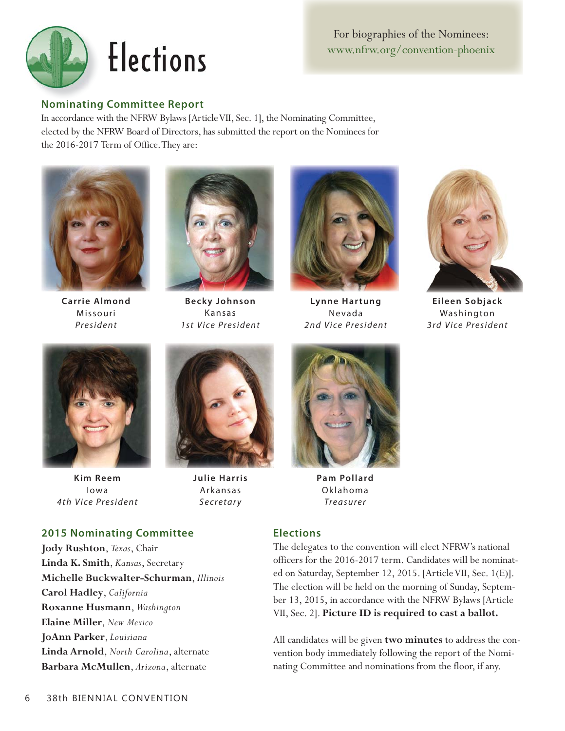

For biographies of the Nominees: www.nfrw.org/convention-phoenix

#### **Nominating Committee Report**

In accordance with the NFRW Bylaws [Article VII, Sec. 1], the Nominating Committee, elected by the NFRW Board of Directors, has submitted the report on the Nominees for the 2016-2017 Term of Office. They are:



**Carrie Almond** Missouri *President*



**Becky Johnson** Kansas *1st Vice President*



**Lynne Hartung** Nevada *2nd Vice President*



**Eileen Sobjack** Washington *3rd Vice President*



**Kim Reem** Iowa *4th Vice President*



**Julie Harris** Arkansas *Secretary*



**Pam Pollard** Oklahoma *Treasurer*

#### **Elections**

The delegates to the convention will elect NFRW's national officers for the 2016-2017 term. Candidates will be nominated on Saturday, September 12, 2015. [Article VII, Sec. 1(E)]. The election will be held on the morning of Sunday, September 13, 2015, in accordance with the NFRW Bylaws [Article VII, Sec. 2]. **Picture ID is required to cast a ballot.**

All candidates will be given **two minutes** to address the convention body immediately following the report of the Nominating Committee and nominations from the floor, if any.

#### **2015 Nominating Committee**

**Jody Rushton**, *Texas*, Chair **Linda K. Smith**, *Kansas*, Secretary **Michelle Buckwalter-Schurman**, *Illinois* **Carol Hadley**, *California* **Roxanne Husmann**, *Washington* **Elaine Miller**, *New Mexico* **JoAnn Parker**, *Louisiana* **Linda Arnold**, *North Carolina*, alternate **Barbara McMullen**, *Arizona*, alternate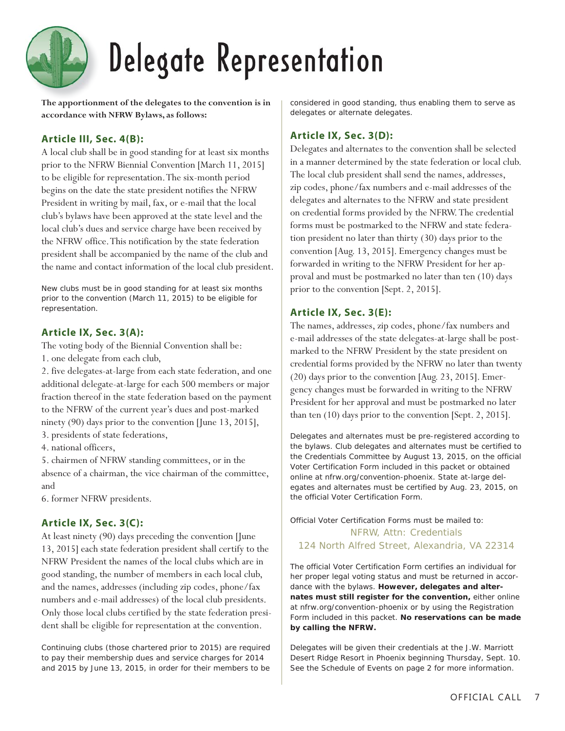### Delegate Representation

**The apportionment of the delegates to the convention is in accordance with NFRW Bylaws, as follows:**

#### **Article III, Sec. 4(B):**

A local club shall be in good standing for at least six months prior to the NFRW Biennial Convention [March 11, 2015] to be eligible for representation. The six-month period begins on the date the state president notifies the NFRW President in writing by mail, fax, or e-mail that the local club's bylaws have been approved at the state level and the local club's dues and service charge have been received by the NFRW office. This notification by the state federation president shall be accompanied by the name of the club and the name and contact information of the local club president.

*New clubs must be in good standing for at least six months prior to the convention (March 11, 2015) to be eligible for representation.*

#### **Article IX, Sec. 3(A):**

The voting body of the Biennial Convention shall be: 1. one delegate from each club,

2. five delegates-at-large from each state federation, and one additional delegate-at-large for each 500 members or major fraction thereof in the state federation based on the payment to the NFRW of the current year's dues and post-marked ninety (90) days prior to the convention [June 13, 2015],

3. presidents of state federations,

4. national officers,

5. chairmen of NFRW standing committees, or in the absence of a chairman, the vice chairman of the committee, and

6. former NFRW presidents.

#### **Article IX, Sec. 3(C):**

At least ninety (90) days preceding the convention [June 13, 2015] each state federation president shall certify to the NFRW President the names of the local clubs which are in good standing, the number of members in each local club, and the names, addresses (including zip codes, phone/fax numbers and e-mail addresses) of the local club presidents. Only those local clubs certified by the state federation president shall be eligible for representation at the convention.

*Continuing clubs (those chartered prior to 2015) are required to pay their membership dues and service charges for 2014 and 2015 by June 13, 2015, in order for their members to be* 

*considered in good standing, thus enabling them to serve as delegates or alternate delegates.*

#### **Article IX, Sec. 3(D):**

Delegates and alternates to the convention shall be selected in a manner determined by the state federation or local club. The local club president shall send the names, addresses, zip codes, phone/fax numbers and e-mail addresses of the delegates and alternates to the NFRW and state president on credential forms provided by the NFRW. The credential forms must be postmarked to the NFRW and state federation president no later than thirty (30) days prior to the convention [Aug. 13, 2015]. Emergency changes must be forwarded in writing to the NFRW President for her approval and must be postmarked no later than ten (10) days prior to the convention [Sept. 2, 2015].

#### **Article IX, Sec. 3(E):**

The names, addresses, zip codes, phone/fax numbers and e-mail addresses of the state delegates-at-large shall be postmarked to the NFRW President by the state president on credential forms provided by the NFRW no later than twenty (20) days prior to the convention [Aug. 23, 2015]. Emergency changes must be forwarded in writing to the NFRW President for her approval and must be postmarked no later than ten (10) days prior to the convention [Sept. 2, 2015].

*Delegates and alternates must be pre-registered according to the bylaws. Club delegates and alternates must be certified to the Credentials Committee by August 13, 2015, on the official Voter Certification Form included in this packet or obtained online at nfrw.org/convention-phoenix. State at-large delegates and alternates must be certified by Aug. 23, 2015, on the official Voter Certification Form.*

#### *Official Voter Certification Forms must be mailed to:* NFRW, Attn: Credentials 124 North Alfred Street, Alexandria, VA 22314

*The official Voter Certification Form certifies an individual for her proper legal voting status and must be returned in accordance with the bylaws. However, delegates and alternates must still register for the convention, either online at nfrw.org/convention-phoenix or by using the Registration Form included in this packet. No reservations can be made by calling the NFRW.* 

*Delegates will be given their credentials at the J.W. Marriott Desert Ridge Resort in Phoenix beginning Thursday, Sept. 10. See the Schedule of Events on page 2 for more information.*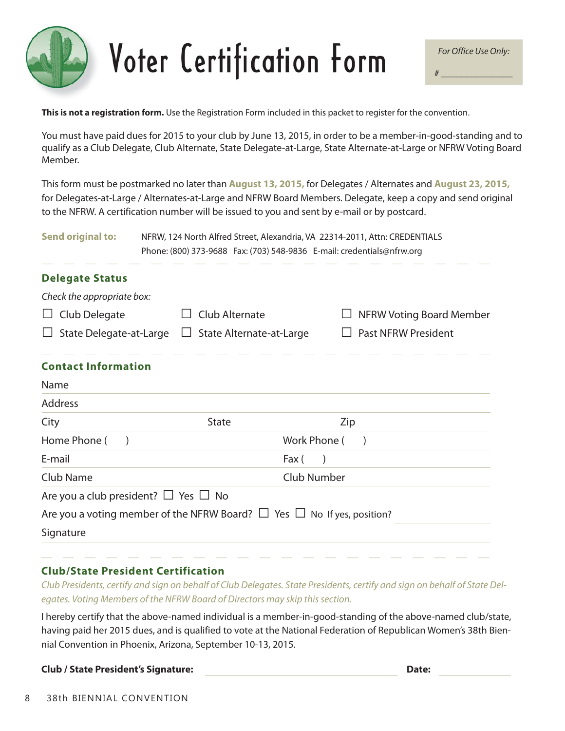# Voter Certification Form

**This is not a registration form.** Use the Registration Form included in this packet to register for the convention.

You must have paid dues for 2015 to your club by June 13, 2015, in order to be a member-in-good-standing and to qualify as a Club Delegate, Club Alternate, State Delegate-at-Large, State Alternate-at-Large or NFRW Voting Board Member.

This form must be postmarked no later than **August 13, 2015,** for Delegates / Alternates and **August 23, 2015,** for Delegates-at-Large / Alternates-at-Large and NFRW Board Members. Delegate, keep a copy and send original to the NFRW. A certification number will be issued to you and sent by e-mail or by postcard.

| <b>Send original to:</b>                       | NFRW, 124 North Alfred Street, Alexandria, VA 22314-2011, Attn: CREDENTIALS<br>Phone: (800) 373-9688    Fax: (703) 548-9836    E-mail: credentials@nfrw.org |                                 |  |
|------------------------------------------------|-------------------------------------------------------------------------------------------------------------------------------------------------------------|---------------------------------|--|
| <b>Delegate Status</b>                         |                                                                                                                                                             |                                 |  |
| Check the appropriate box:                     |                                                                                                                                                             |                                 |  |
| Club Delegate<br>⊔                             | Club Alternate                                                                                                                                              | <b>NFRW Voting Board Member</b> |  |
| $\Box$ State Delegate-at-Large                 | $\Box$ State Alternate-at-Large                                                                                                                             | <b>Past NFRW President</b>      |  |
| <b>Contact Information</b>                     |                                                                                                                                                             |                                 |  |
| Name                                           |                                                                                                                                                             |                                 |  |
| <b>Address</b>                                 |                                                                                                                                                             |                                 |  |
| City                                           | <b>State</b>                                                                                                                                                | Zip                             |  |
| Home Phone (<br>$\rightarrow$                  | Work Phone (                                                                                                                                                | $\lambda$                       |  |
| E-mail                                         | Fax (                                                                                                                                                       | $\lambda$                       |  |
| <b>Club Name</b>                               | <b>Club Number</b>                                                                                                                                          |                                 |  |
| Are you a club president? $\Box$ Yes $\Box$ No |                                                                                                                                                             |                                 |  |
|                                                | Are you a voting member of the NFRW Board? $\Box$ Yes $\Box$ No If yes, position?                                                                           |                                 |  |
| Signature                                      |                                                                                                                                                             |                                 |  |

#### **Club/State President Certification**

*Club Presidents, certify and sign on behalf of Club Delegates. State Presidents, certify and sign on behalf of State Delegates. Voting Members of the NFRW Board of Directors may skip this section.*

I hereby certify that the above-named individual is a member-in-good-standing of the above-named club/state, having paid her 2015 dues, and is qualified to vote at the National Federation of Republican Women's 38th Biennial Convention in Phoenix, Arizona, September 10-13, 2015.

**Club / State President's Signature:** 

| . .<br>۰<br>×<br>I<br>I<br>.,<br>۰.<br>× |  |
|------------------------------------------|--|
|------------------------------------------|--|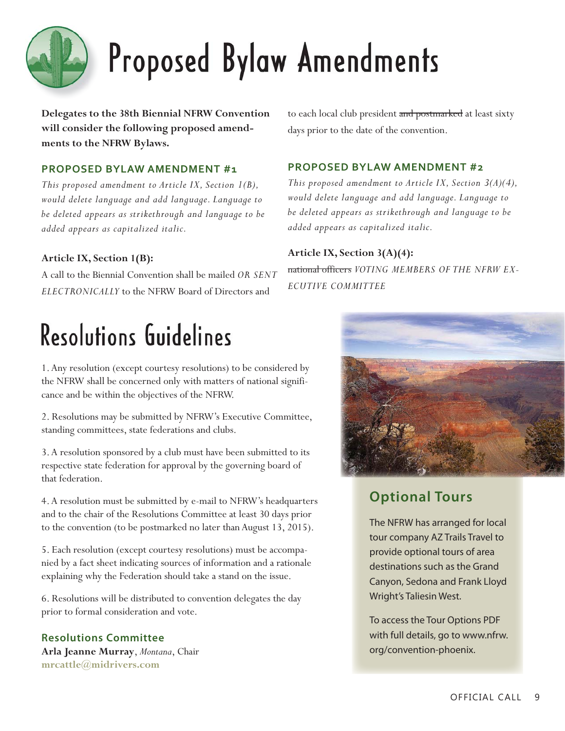

## Proposed Bylaw Amendments

**Delegates to the 38th Biennial NFRW Convention will consider the following proposed amendments to the NFRW Bylaws.** 

#### **PROPOSED BYLAW AMENDMENT #1**

*This proposed amendment to Article IX, Section 1(B), would delete language and add language. Language to be deleted appears as strikethrough and language to be added appears as capitalized italic.*

#### **Article IX, Section 1(B):**

A call to the Biennial Convention shall be mailed *OR SENT ELECTRONICALLY* to the NFRW Board of Directors and

### Resolutions Guidelines

1. Any resolution (except courtesy resolutions) to be considered by the NFRW shall be concerned only with matters of national significance and be within the objectives of the NFRW.

2. Resolutions may be submitted by NFRW's Executive Committee, standing committees, state federations and clubs.

3. A resolution sponsored by a club must have been submitted to its respective state federation for approval by the governing board of that federation.

4. A resolution must be submitted by e-mail to NFRW's headquarters and to the chair of the Resolutions Committee at least 30 days prior to the convention (to be postmarked no later than August 13, 2015).

5. Each resolution (except courtesy resolutions) must be accompanied by a fact sheet indicating sources of information and a rationale explaining why the Federation should take a stand on the issue.

6. Resolutions will be distributed to convention delegates the day prior to formal consideration and vote.

#### **Resolutions Committee**

**Arla Jeanne Murray**, *Montana*, Chair **mrcattle@midrivers.com**

to each local club president and postmarked at least sixty days prior to the date of the convention.

#### **PROPOSED BYLAW AMENDMENT #2**

*This proposed amendment to Article IX, Section 3(A)(4), would delete language and add language. Language to be deleted appears as strikethrough and language to be added appears as capitalized italic.*

#### **Article IX, Section 3(A)(4):**

national officers *VOTING MEMBERS OF THE NFRW EX-ECUTIVE COMMITTEE*



### **Optional Tours**

The NFRW has arranged for local tour company AZ Trails Travel to provide optional tours of area destinations such as the Grand Canyon, Sedona and Frank Lloyd Wright's Taliesin West.

To access the Tour Options PDF with full details, go to www.nfrw. org/convention-phoenix.